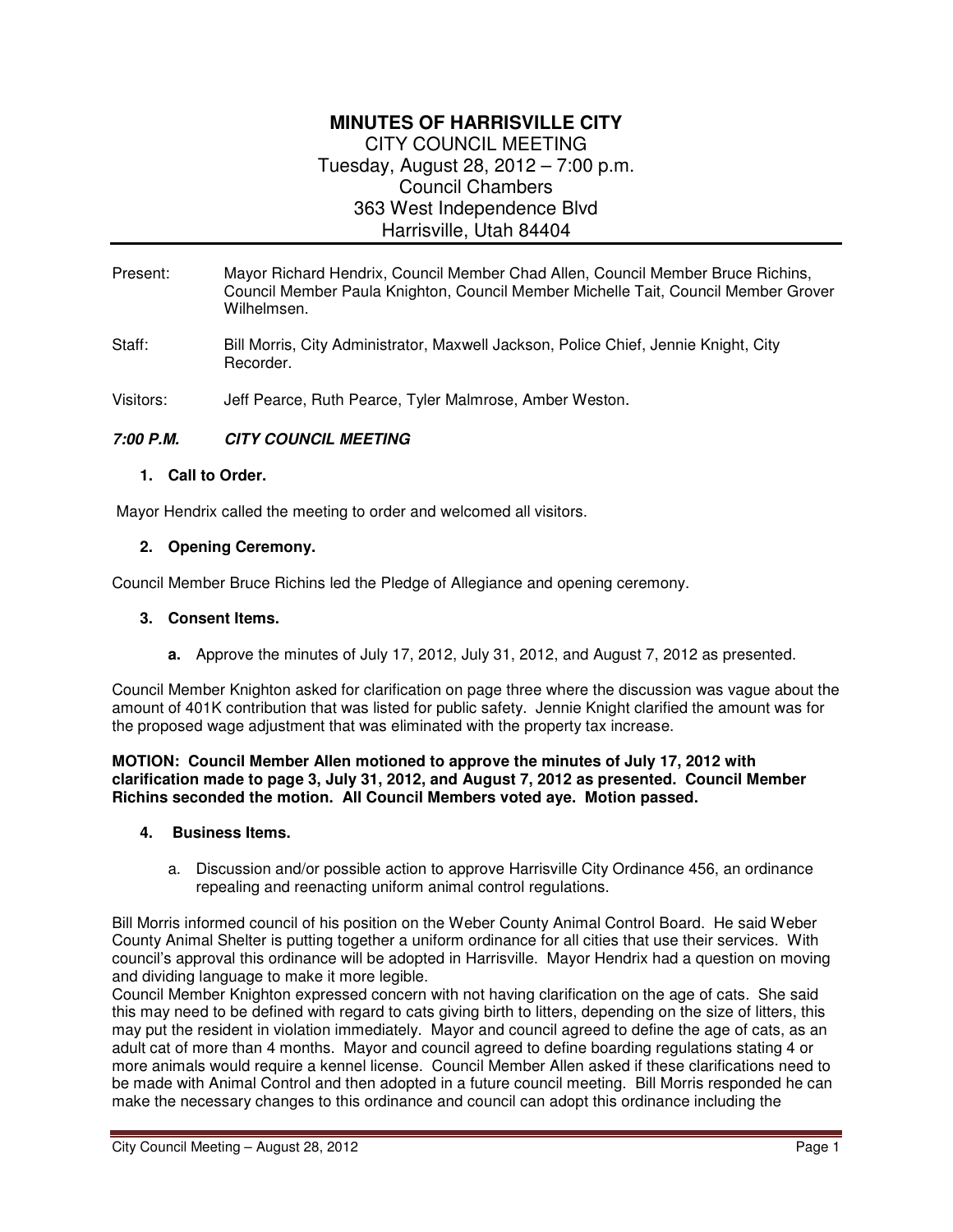# **MINUTES OF HARRISVILLE CITY**  CITY COUNCIL MEETING Tuesday, August 28, 2012 – 7:00 p.m. Council Chambers 363 West Independence Blvd Harrisville, Utah 84404

- Present: Mayor Richard Hendrix, Council Member Chad Allen, Council Member Bruce Richins, Council Member Paula Knighton, Council Member Michelle Tait, Council Member Grover Wilhelmsen.
- Staff: Bill Morris, City Administrator, Maxwell Jackson, Police Chief, Jennie Knight, City Recorder.

Visitors: Jeff Pearce, Ruth Pearce, Tyler Malmrose, Amber Weston.

## **7:00 P.M. CITY COUNCIL MEETING**

#### **1. Call to Order.**

Mayor Hendrix called the meeting to order and welcomed all visitors.

#### **2. Opening Ceremony.**

Council Member Bruce Richins led the Pledge of Allegiance and opening ceremony.

#### **3. Consent Items.**

**a.** Approve the minutes of July 17, 2012, July 31, 2012, and August 7, 2012 as presented.

Council Member Knighton asked for clarification on page three where the discussion was vague about the amount of 401K contribution that was listed for public safety. Jennie Knight clarified the amount was for the proposed wage adjustment that was eliminated with the property tax increase.

**MOTION: Council Member Allen motioned to approve the minutes of July 17, 2012 with clarification made to page 3, July 31, 2012, and August 7, 2012 as presented. Council Member Richins seconded the motion. All Council Members voted aye. Motion passed.** 

#### **4. Business Items.**

a. Discussion and/or possible action to approve Harrisville City Ordinance 456, an ordinance repealing and reenacting uniform animal control regulations.

Bill Morris informed council of his position on the Weber County Animal Control Board. He said Weber County Animal Shelter is putting together a uniform ordinance for all cities that use their services. With council's approval this ordinance will be adopted in Harrisville. Mayor Hendrix had a question on moving and dividing language to make it more legible.

Council Member Knighton expressed concern with not having clarification on the age of cats. She said this may need to be defined with regard to cats giving birth to litters, depending on the size of litters, this may put the resident in violation immediately. Mayor and council agreed to define the age of cats, as an adult cat of more than 4 months. Mayor and council agreed to define boarding regulations stating 4 or more animals would require a kennel license. Council Member Allen asked if these clarifications need to be made with Animal Control and then adopted in a future council meeting. Bill Morris responded he can make the necessary changes to this ordinance and council can adopt this ordinance including the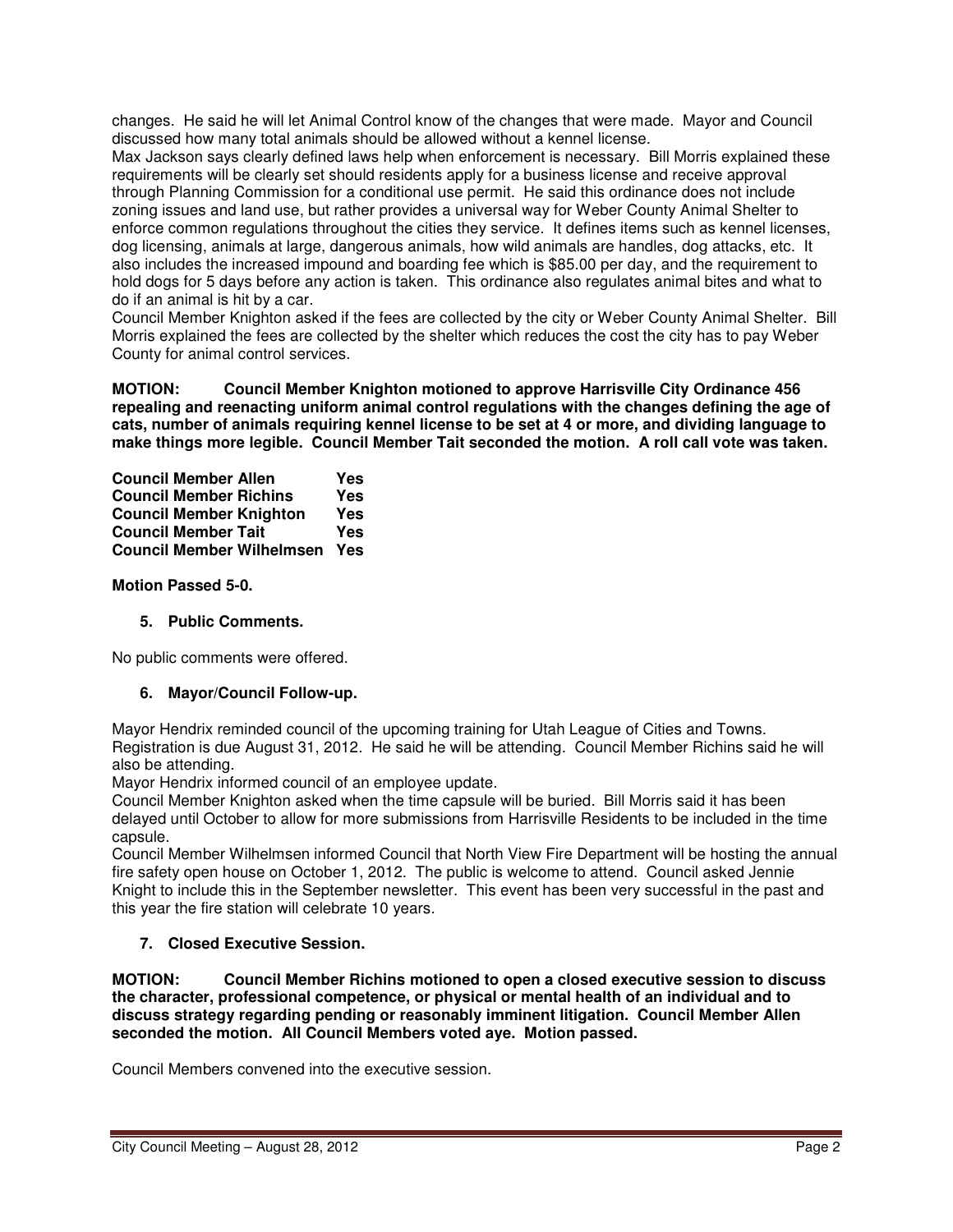changes. He said he will let Animal Control know of the changes that were made. Mayor and Council discussed how many total animals should be allowed without a kennel license.

Max Jackson says clearly defined laws help when enforcement is necessary. Bill Morris explained these requirements will be clearly set should residents apply for a business license and receive approval through Planning Commission for a conditional use permit. He said this ordinance does not include zoning issues and land use, but rather provides a universal way for Weber County Animal Shelter to enforce common regulations throughout the cities they service. It defines items such as kennel licenses, dog licensing, animals at large, dangerous animals, how wild animals are handles, dog attacks, etc. It also includes the increased impound and boarding fee which is \$85.00 per day, and the requirement to hold dogs for 5 days before any action is taken. This ordinance also regulates animal bites and what to do if an animal is hit by a car.

Council Member Knighton asked if the fees are collected by the city or Weber County Animal Shelter. Bill Morris explained the fees are collected by the shelter which reduces the cost the city has to pay Weber County for animal control services.

**MOTION: Council Member Knighton motioned to approve Harrisville City Ordinance 456 repealing and reenacting uniform animal control regulations with the changes defining the age of cats, number of animals requiring kennel license to be set at 4 or more, and dividing language to make things more legible. Council Member Tait seconded the motion. A roll call vote was taken.** 

**Council Member Allen Yes Council Member Richins Yes Council Member Knighton Yes Council Member Tait Council Member Wilhelmsen Yes** 

**Motion Passed 5-0.** 

**5. Public Comments.** 

No public comments were offered.

## **6. Mayor/Council Follow-up.**

Mayor Hendrix reminded council of the upcoming training for Utah League of Cities and Towns. Registration is due August 31, 2012. He said he will be attending. Council Member Richins said he will also be attending.

Mayor Hendrix informed council of an employee update.

Council Member Knighton asked when the time capsule will be buried. Bill Morris said it has been delayed until October to allow for more submissions from Harrisville Residents to be included in the time capsule.

Council Member Wilhelmsen informed Council that North View Fire Department will be hosting the annual fire safety open house on October 1, 2012. The public is welcome to attend. Council asked Jennie Knight to include this in the September newsletter. This event has been very successful in the past and this year the fire station will celebrate 10 years.

## **7. Closed Executive Session.**

**MOTION: Council Member Richins motioned to open a closed executive session to discuss the character, professional competence, or physical or mental health of an individual and to discuss strategy regarding pending or reasonably imminent litigation. Council Member Allen seconded the motion. All Council Members voted aye. Motion passed.** 

Council Members convened into the executive session.